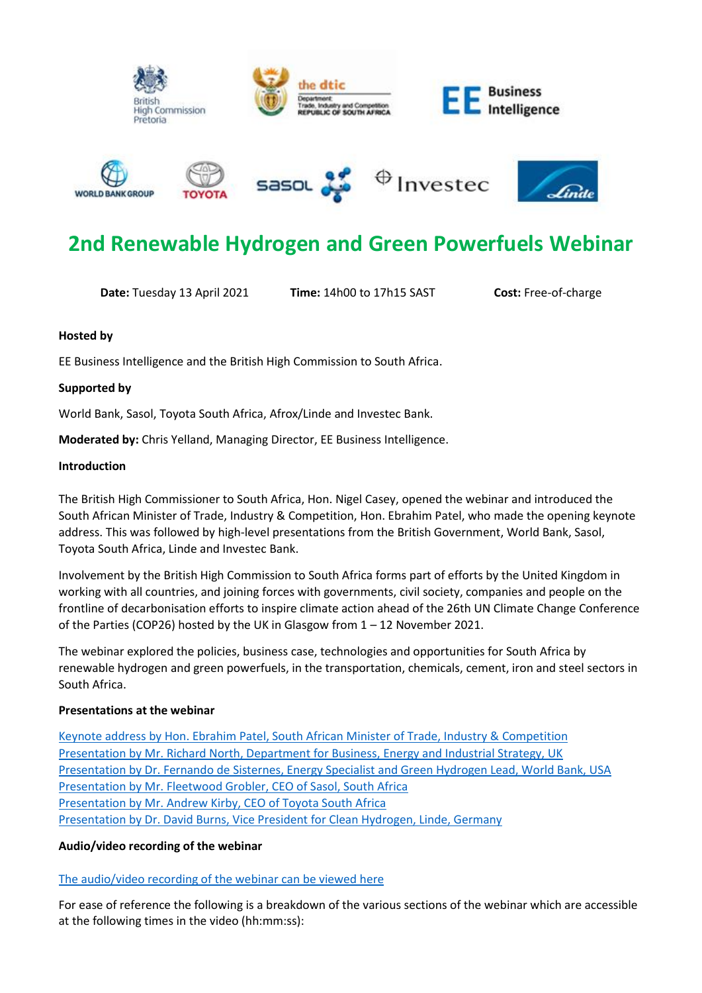











# **2nd Renewable Hydrogen and Green Powerfuels Webinar**

**Date:** Tuesday 13 April 2021 **Time:** 14h00 to 17h15 SAST **Cost:** Free-of-charge

# **Hosted by**

EE Business Intelligence and the British High Commission to South Africa.

# **Supported by**

World Bank, Sasol, Toyota South Africa, Afrox/Linde and Investec Bank.

**Moderated by:** Chris Yelland, Managing Director, EE Business Intelligence.

# **Introduction**

The British High Commissioner to South Africa, Hon. Nigel Casey, opened the webinar and introduced the South African Minister of Trade, Industry & Competition, Hon. Ebrahim Patel, who made the opening keynote address. This was followed by high-level presentations from the British Government, World Bank, Sasol, Toyota South Africa, Linde and Investec Bank.

Involvement by the British High Commission to South Africa forms part of efforts by the United Kingdom in working with all countries, and joining forces with governments, civil society, companies and people on the frontline of decarbonisation efforts to inspire climate action ahead of the 26th UN Climate Change Conference of the Parties (COP26) hosted by the UK in Glasgow from 1 – 12 November 2021.

The webinar explored the policies, business case, technologies and opportunities for South Africa by renewable hydrogen and green powerfuels, in the transportation, chemicals, cement, iron and steel sectors in South Africa.

# **Presentations at the webinar**

[Keynote address by Hon. Ebrahim Patel, South African Minister of Trade, Industry &](https://www.ee.co.za/wp-content/uploads/2021/04/Address-by-Minister-Ebrahim-Patel-13-April-2021.pdf) Competition [Presentation by Mr. Richard North, Department for Business, Energy and Industrial Strategy, UK](https://www.ee.co.za/wp-content/uploads/2021/04/Richard-North-presentation.pdf) [Presentation by Dr. Fernando de Sisternes, Energy Specialist and Green Hydrogen Lead, World Bank, USA](https://www.ee.co.za/wp-content/uploads/2021/04/Fernando-de-Sisternes-presentation.pdf) [Presentation by Mr. Fleetwood Grobler, CEO of Sasol, South Africa](https://www.ee.co.za/wp-content/uploads/2021/04/Fleetwood-Grobler-presentation-1.pdf) [Presentation by Mr. Andrew Kirby, CEO of Toyota South Africa](https://www.ee.co.za/wp-content/uploads/2021/04/Andrew-Kirby-presentation.pdf) [Presentation by Dr. David Burns, Vice President for Clean Hydrogen, Linde, Germany](https://www.ee.co.za/wp-content/uploads/2021/04/Davis-Burns-presentation.pdf)

# **Audio/video recording of the webinar**

# [The audio/video recording of the webinar can be viewed here](https://youtu.be/-z6EEc3hTe4)

For ease of reference the following is a breakdown of the various sections of the webinar which are accessible at the following times in the video (hh:mm:ss):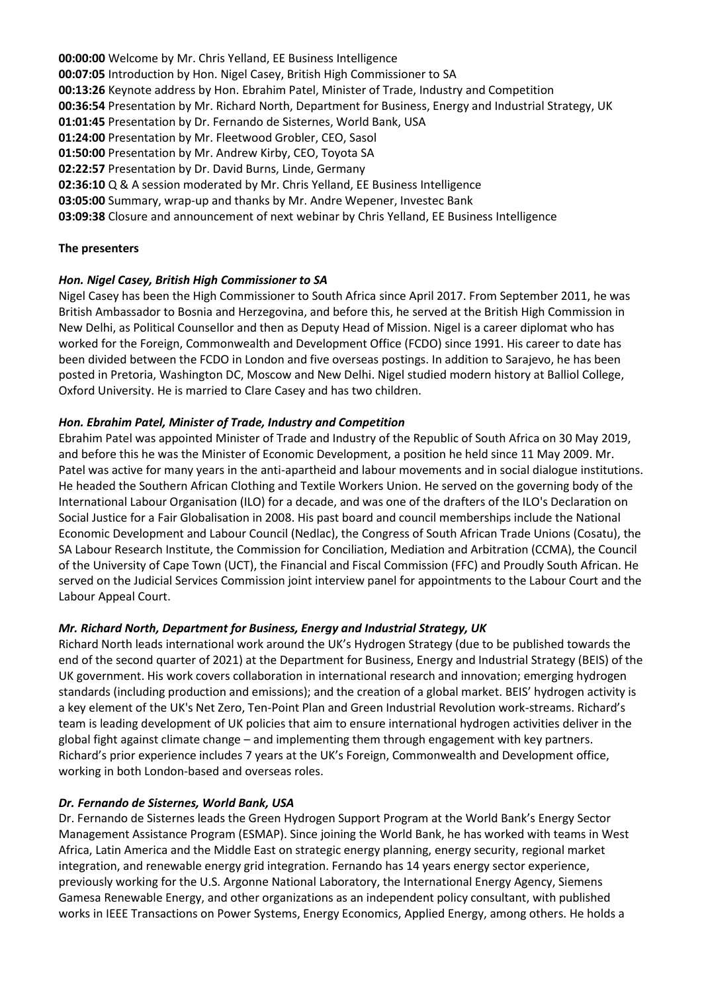**00:00:00** Welcome by Mr. Chris Yelland, EE Business Intelligence **00:07:05** Introduction by Hon. Nigel Casey, British High Commissioner to SA **00:13:26** Keynote address by Hon. Ebrahim Patel, Minister of Trade, Industry and Competition **00:36:54** Presentation by Mr. Richard North, Department for Business, Energy and Industrial Strategy, UK **01:01:45** Presentation by Dr. Fernando de Sisternes, World Bank, USA **01:24:00** Presentation by Mr. Fleetwood Grobler, CEO, Sasol **01:50:00** Presentation by Mr. Andrew Kirby, CEO, Toyota SA **02:22:57** Presentation by Dr. David Burns, Linde, Germany **02:36:10** Q & A session moderated by Mr. Chris Yelland, EE Business Intelligence **03:05:00** Summary, wrap-up and thanks by Mr. Andre Wepener, Investec Bank **03:09:38** Closure and announcement of next webinar by Chris Yelland, EE Business Intelligence

# **The presenters**

#### *Hon. Nigel Casey, British High Commissioner to SA*

Nigel Casey has been the High Commissioner to South Africa since April 2017. From September 2011, he was British Ambassador to Bosnia and Herzegovina, and before this, he served at the British High Commission in New Delhi, as Political Counsellor and then as Deputy Head of Mission. Nigel is a career diplomat who has worked for the Foreign, Commonwealth and Development Office (FCDO) since 1991. His career to date has been divided between the FCDO in London and five overseas postings. In addition to Sarajevo, he has been posted in Pretoria, Washington DC, Moscow and New Delhi. Nigel studied modern history at Balliol College, Oxford University. He is married to Clare Casey and has two children.

#### *Hon. Ebrahim Patel, Minister of Trade, Industry and Competition*

Ebrahim Patel was appointed Minister of Trade and Industry of the Republic of South Africa on 30 May 2019, and before this he was the Minister of Economic Development, a position he held since 11 May 2009. Mr. Patel was active for many years in the anti-apartheid and labour movements and in social dialogue institutions. He headed the Southern African Clothing and Textile Workers Union. He served on the governing body of the International Labour Organisation (ILO) for a decade, and was one of the drafters of the ILO's Declaration on Social Justice for a Fair Globalisation in 2008. His past board and council memberships include the National Economic Development and Labour Council (Nedlac), the Congress of South African Trade Unions (Cosatu), the SA Labour Research Institute, the Commission for Conciliation, Mediation and Arbitration (CCMA), the Council of the University of Cape Town (UCT), the Financial and Fiscal Commission (FFC) and Proudly South African. He served on the Judicial Services Commission joint interview panel for appointments to the Labour Court and the Labour Appeal Court.

#### *Mr. Richard North, Department for Business, Energy and Industrial Strategy, UK*

Richard North leads international work around the UK's Hydrogen Strategy (due to be published towards the end of the second quarter of 2021) at the Department for Business, Energy and Industrial Strategy (BEIS) of the UK government. His work covers collaboration in international research and innovation; emerging hydrogen standards (including production and emissions); and the creation of a global market. BEIS' hydrogen activity is a key element of the UK's Net Zero, Ten-Point Plan and Green Industrial Revolution work-streams. Richard's team is leading development of UK policies that aim to ensure international hydrogen activities deliver in the global fight against climate change – and implementing them through engagement with key partners. Richard's prior experience includes 7 years at the UK's Foreign, Commonwealth and Development office, working in both London-based and overseas roles.

#### *Dr. Fernando de Sisternes, World Bank, USA*

Dr. Fernando de Sisternes leads the Green Hydrogen Support Program at the World Bank's Energy Sector Management Assistance Program (ESMAP). Since joining the World Bank, he has worked with teams in West Africa, Latin America and the Middle East on strategic energy planning, energy security, regional market integration, and renewable energy grid integration. Fernando has 14 years energy sector experience, previously working for the U.S. Argonne National Laboratory, the International Energy Agency, Siemens Gamesa Renewable Energy, and other organizations as an independent policy consultant, with published works in IEEE Transactions on Power Systems, Energy Economics, Applied Energy, among others. He holds a